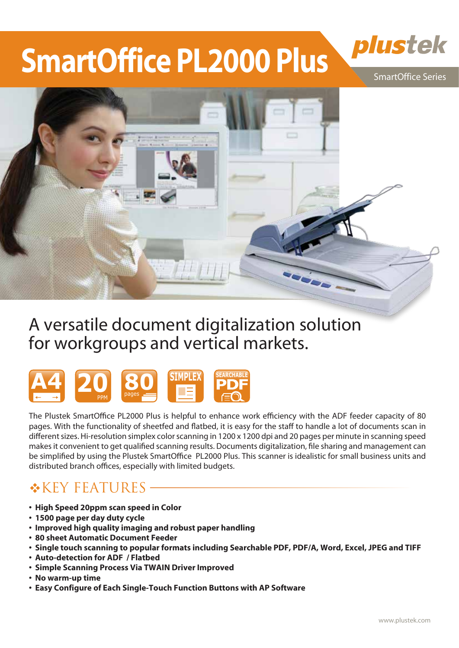# **SmartOffice PL2000 Plus**



SmartOffice Series



# A versatile document digitalization solution for workgroups and vertical markets.



The Plustek SmartOffice PL2000 Plus is helpful to enhance work efficiency with the ADF feeder capacity of 80 pages. With the functionality of sheetfed and flatbed, it is easy for the staff to handle a lot of documents scan in different sizes. Hi-resolution simplex color scanning in  $1200 \times 1200$  dpi and 20 pages per minute in scanning speed makes it convenient to get qualified scanning results. Documents digitalization, file sharing and management can be simplified by using the Plustek SmartOffice PL2000 Plus. This scanner is idealistic for small business units and distributed branch offices, especially with limited budgets.

## **\*KEY FEATURES**

- **High Speed 20ppm scan speed in Color**
- **1500 page per day duty cycle**
- **Improved high quality imaging and robust paper handling**
- **80 sheet Automatic Document Feeder**
- **Single touch scanning to popular formats including Searchable PDF, PDF/A, Word, Excel, JPEG and TIFF**
- **Auto-detection for ADF / Flatbed**
- **Simple Scanning Process Via TWAIN Driver Improved**
- **No warm-up time**
- **Easy Configure of Each Single-Touch Function Buttons with AP Software**